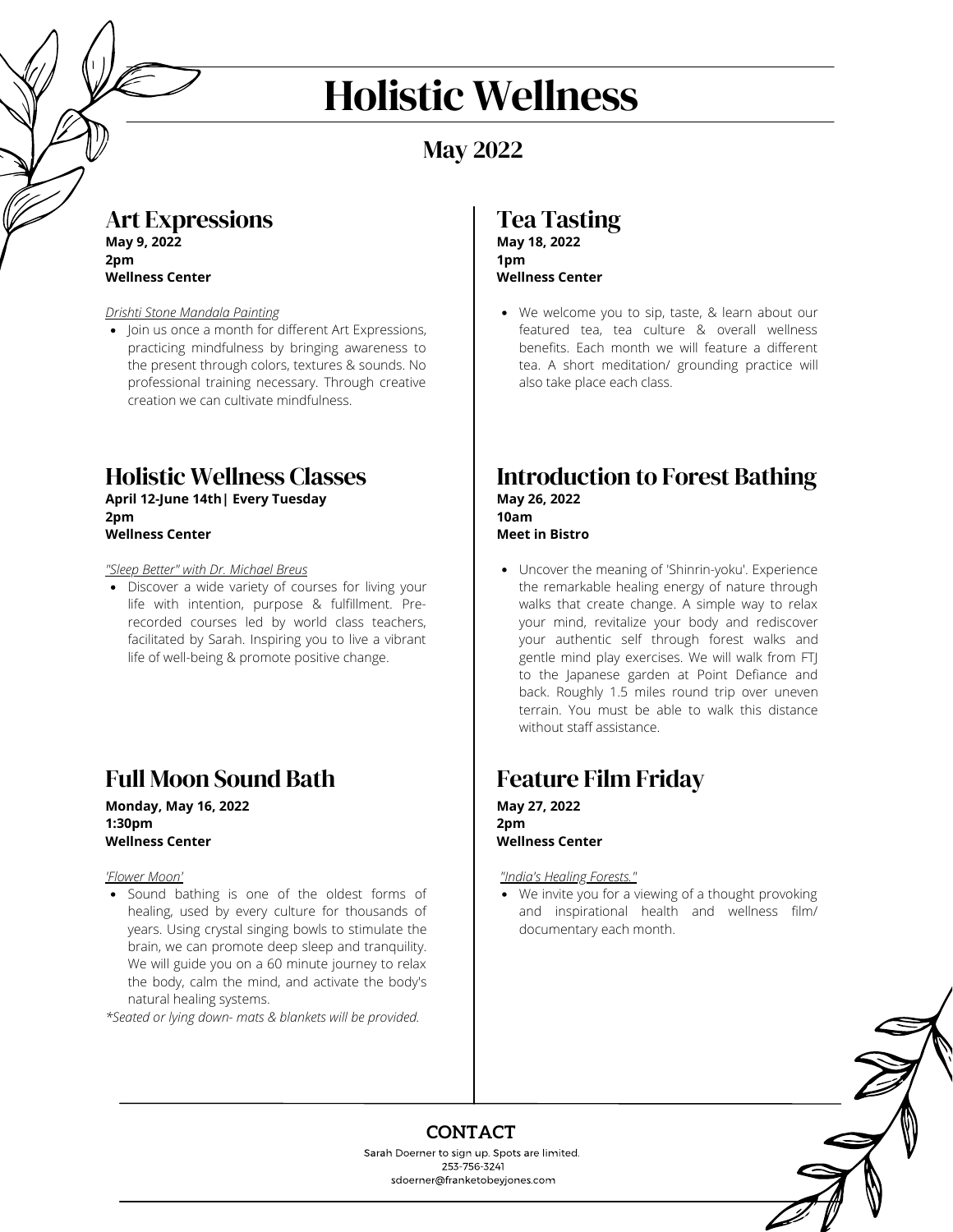# Holistic Wellness

# May 2022

## Art Expressions

**May 9, 2022 2pm Wellness Center**

#### *Drishti Stone Mandala Painting*

• Join us once a month for different Art Expressions, practicing mindfulness by bringing awareness to the present through colors, textures & sounds. No professional training necessary. Through creative creation we can cultivate mindfulness.

#### Holistic Wellness Classes **April 12-June 14th| Every Tuesday 2pm**

**Wellness Center**

*"Sleep Better" with Dr. Michael Breus*

• Discover a wide variety of courses for living your life with intention, purpose & fulfillment. Prerecorded courses led by world class teachers, facilitated by Sarah. Inspiring you to live a vibrant life of well-being & promote positive change.

# Full Moon Sound Bath

**Monday, May 16, 2022 1:30pm Wellness Center**

*'Flower Moon'*

Sound bathing is one of the oldest forms of healing, used by every culture for thousands of years. Using crystal singing bowls to stimulate the brain, we can promote deep sleep and tranquility. We will guide you on a 60 minute journey to relax the body, calm the mind, and activate the body's natural healing systems.

*\*Seated or lying down- mats & blankets will be provided.*

## Tea Tasting **May 18, 2022 1pm**

### **Wellness Center**

We welcome you to sip, taste, & learn about our featured tea, tea culture & overall wellness benefits. Each month we will feature a different tea. A short meditation/ grounding practice will also take place each class.

#### Introduction to Forest Bathing **May 26, 2022 10am Meet in Bistro**

Uncover the meaning of 'Shinrin-yoku'. Experience the remarkable healing energy of nature through walks that create change. A simple way to relax your mind, revitalize your body and rediscover your authentic self through forest walks and gentle mind play exercises. We will walk from FTJ to the Japanese garden at Point Defiance and back. Roughly 1.5 miles round trip over uneven terrain. You must be able to walk this distance without staff assistance.

# Feature Film Friday

**May 27, 2022 2pm Wellness Center** 

*"India's Healing Forests."*

We invite you for a viewing of a thought provoking and inspirational health and wellness film/ documentary each month.



## **CONTACT**

Sarah Doerner to sign up. Spots are limited. 253-756-3241 sdoerner@franketobeyjones.com